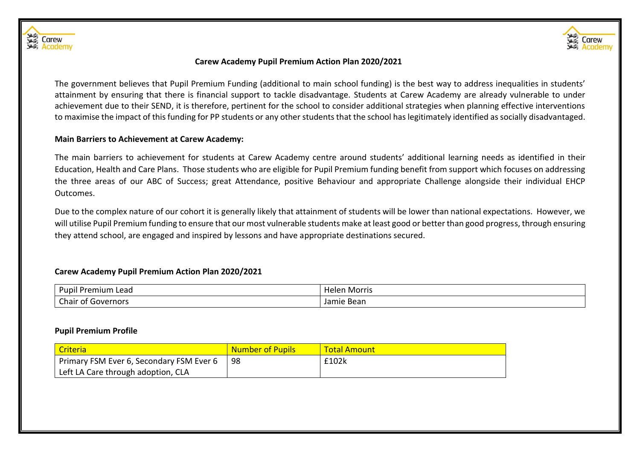



#### **Carew Academy Pupil Premium Action Plan 2020/2021**

The government believes that Pupil Premium Funding (additional to main school funding) is the best way to address inequalities in students' attainment by ensuring that there is financial support to tackle disadvantage. Students at Carew Academy are already vulnerable to under achievement due to their SEND, it is therefore, pertinent for the school to consider additional strategies when planning effective interventions to maximise the impact of this funding for PP students or any other students that the school has legitimately identified as socially disadvantaged.

## **Main Barriers to Achievement at Carew Academy:**

The main barriers to achievement for students at Carew Academy centre around students' additional learning needs as identified in their Education, Health and Care Plans. Those students who are eligible for Pupil Premium funding benefit from support which focuses on addressing the three areas of our ABC of Success; great Attendance, positive Behaviour and appropriate Challenge alongside their individual EHCP Outcomes.

Due to the complex nature of our cohort it is generally likely that attainment of students will be lower than national expectations. However, we will utilise Pupil Premium funding to ensure that our most vulnerable students make at least good or better than good progress, through ensuring they attend school, are engaged and inspired by lessons and have appropriate destinations secured.

# **Carew Academy Pupil Premium Action Plan 2020/2021**

| .<br>Pupil<br>ı Premium<br>Lead     | ı Morris<br>Helen |  |  |
|-------------------------------------|-------------------|--|--|
| ~'<br>Governors<br>Chair<br>~<br>וט | Bean<br>Jar<br>шс |  |  |

#### **Pupil Premium Profile**

| Criteria                                 | <b>Number of Pupils</b> | <b>Total Amount</b> |
|------------------------------------------|-------------------------|---------------------|
| Primary FSM Ever 6, Secondary FSM Ever 6 | 98                      | £102k               |
| Left LA Care through adoption, CLA       |                         |                     |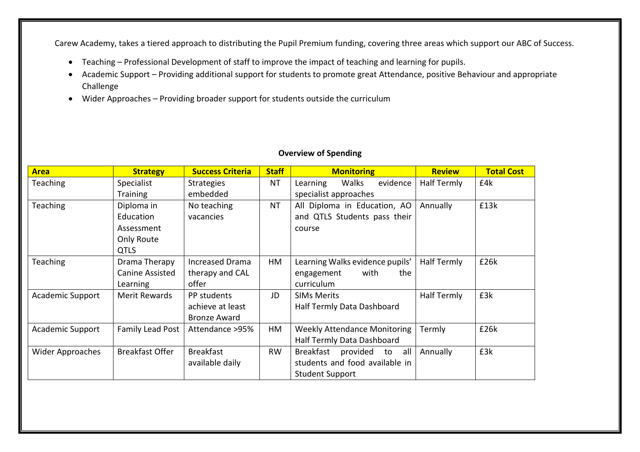Carew Academy, takes a tiered approach to distributing the Pupil Premium funding, covering three areas which support our ABC of Success.

- Teaching Professional Development of staff to improve the impact of teaching and learning for pupils.
- Academic Support Providing additional support for students to promote great Attendance, positive Behaviour and appropriate Challenge
- Wider Approaches Providing broader support for students outside the curriculum

| <b>Area</b>             | <b>Strategy</b>         | <b>Success Criteria</b>                                  | <b>Staff</b>          | <b>Monitoring</b>                   | <b>Review</b> | <b>Total Cost</b> |
|-------------------------|-------------------------|----------------------------------------------------------|-----------------------|-------------------------------------|---------------|-------------------|
| <b>Teaching</b>         | Specialist              | <b>Strategies</b>                                        | NT                    | evidence<br>Walks<br>Learning       | Half Termly   | £4k               |
|                         | <b>Training</b>         | embedded                                                 | specialist approaches |                                     |               |                   |
| <b>Teaching</b>         | Diploma in              | <b>NT</b><br>All Diploma in Education, AO<br>No teaching |                       |                                     | Annually      | £13k              |
|                         | Education               | vacancies                                                |                       | and QTLS Students pass their        |               |                   |
|                         | Assessment              |                                                          |                       | course                              |               |                   |
|                         | Only Route              |                                                          |                       |                                     |               |                   |
|                         | <b>QTLS</b>             |                                                          |                       |                                     |               |                   |
| <b>Teaching</b>         | Drama Therapy           | <b>Increased Drama</b>                                   | HM                    | Learning Walks evidence pupils'     | Half Termly   | £26k              |
|                         | <b>Canine Assisted</b>  | therapy and CAL                                          |                       | with<br>engagement<br>the           |               |                   |
|                         | Learning                | offer                                                    |                       | curriculum                          |               |                   |
| <b>Academic Support</b> | Merit Rewards           | PP students                                              | JD                    | <b>SIMs Merits</b>                  | Half Termly   | £3k               |
|                         |                         | achieve at least                                         |                       | Half Termly Data Dashboard          |               |                   |
|                         |                         | <b>Bronze Award</b>                                      |                       |                                     |               |                   |
| <b>Academic Support</b> | <b>Family Lead Post</b> | Attendance >95%                                          | HM                    | <b>Weekly Attendance Monitoring</b> | Termly        | £26k              |
|                         |                         |                                                          |                       | Half Termly Data Dashboard          |               |                   |
| Wider Approaches        | <b>Breakfast Offer</b>  | <b>Breakfast</b>                                         | <b>RW</b>             | <b>Breakfast</b><br>provided to all | Annually      | £3k               |
|                         |                         | available daily                                          |                       | students and food available in      |               |                   |
|                         |                         |                                                          |                       | <b>Student Support</b>              |               |                   |

# **Overview of Spending**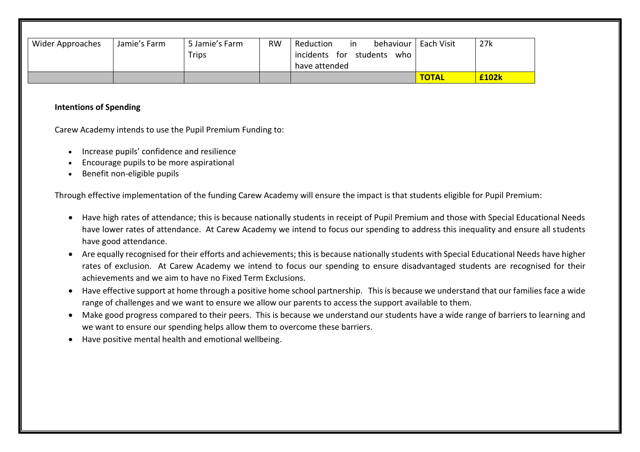| Wider Approaches | Jamie's Farm | 5 Jamie's Farm<br><b>Trips</b> | <b>RW</b> | behaviour   Each Visit<br>Reduction<br>in<br>incidents for<br>students<br>who<br>have attended |              | 27k   |
|------------------|--------------|--------------------------------|-----------|------------------------------------------------------------------------------------------------|--------------|-------|
|                  |              |                                |           |                                                                                                | <b>TOTAL</b> | £102k |

## **Intentions of Spending**

Carew Academy intends to use the Pupil Premium Funding to:

- Increase pupils' confidence and resilience
- Encourage pupils to be more aspirational
- Benefit non-eligible pupils

Through effective implementation of the funding Carew Academy will ensure the impact is that students eligible for Pupil Premium:

- Have high rates of attendance; this is because nationally students in receipt of Pupil Premium and those with Special Educational Needs have lower rates of attendance. At Carew Academy we intend to focus our spending to address this inequality and ensure all students have good attendance.
- Are equally recognised for their efforts and achievements; this is because nationally students with Special Educational Needs have higher rates of exclusion. At Carew Academy we intend to focus our spending to ensure disadvantaged students are recognised for their achievements and we aim to have no Fixed Term Exclusions.
- Have effective support at home through a positive home school partnership. This is because we understand that our families face a wide range of challenges and we want to ensure we allow our parents to access the support available to them.
- Make good progress compared to their peers. This is because we understand our students have a wide range of barriers to learning and we want to ensure our spending helps allow them to overcome these barriers.
- Have positive mental health and emotional wellbeing.